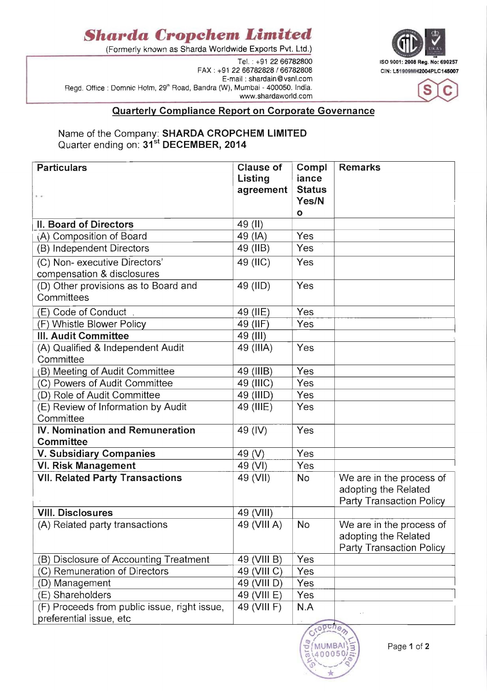## **Sharda Cropchem Limited**

(Formerly known as Sharda Worldwide Exports Pvt. Ltd.)

FAX: +91 22 66782828 / 66782808 CIN: L51909MH2004PLC145007 E-mail: shardain@vsnl.com Regd. Office: Domnic Holm, 29<sup>th</sup> Road, Bandra (W), Mumbai - 400050. India. www.shardaworld.com





## Quarterly Compliance Report on Corporate Governance

## Name of the Company: SHARDA CROPCHEM LIMITED Quarter ending on: 31<sup>st</sup> DECEMBER, 2014

| <b>Particulars</b><br>$\mathbb{R}$                                      | <b>Clause of</b><br>Listing<br>agreement | Compl<br>iance<br><b>Status</b> | <b>Remarks</b>                                                               |
|-------------------------------------------------------------------------|------------------------------------------|---------------------------------|------------------------------------------------------------------------------|
|                                                                         |                                          | Yes/N<br>$\mathbf{o}$           |                                                                              |
| II. Board of Directors                                                  | 49 (II)                                  |                                 |                                                                              |
| (A) Composition of Board                                                | 49 (IA)                                  | Yes                             |                                                                              |
| (B) Independent Directors                                               | 49 (IIB)                                 | Yes                             |                                                                              |
| (C) Non- executive Directors'<br>compensation & disclosures             | 49 (IIC)                                 | Yes                             |                                                                              |
| (D) Other provisions as to Board and<br>Committees                      | 49 (IID)                                 | Yes                             |                                                                              |
| (E) Code of Conduct.                                                    | 49 (IIE)                                 | Yes                             |                                                                              |
| (F) Whistle Blower Policy                                               | 49 (IIF)                                 | Yes                             |                                                                              |
| III. Audit Committee                                                    | 49 (III)                                 |                                 |                                                                              |
| (A) Qualified & Independent Audit<br>Committee                          | 49 (IIIA)                                | Yes                             |                                                                              |
| (B) Meeting of Audit Committee                                          | 49 (IIIB)                                | Yes                             |                                                                              |
| (C) Powers of Audit Committee                                           | 49 (IIIC)                                | Yes                             |                                                                              |
| (D) Role of Audit Committee                                             | 49 (IIID)                                | Yes                             |                                                                              |
| (E) Review of Information by Audit<br>Committee                         | 49 (IIIE)                                | Yes                             |                                                                              |
| IV. Nomination and Remuneration<br>Committee                            | 49 (IV)                                  | Yes                             |                                                                              |
| <b>V. Subsidiary Companies</b>                                          | 49 (V)                                   | Yes                             |                                                                              |
| <b>VI. Risk Management</b>                                              | 49 (VI)                                  | Yes                             |                                                                              |
| <b>VII. Related Party Transactions</b>                                  | 49 (VII)                                 | No                              | We are in the process of<br>adopting the Related<br>Party Transaction Policy |
| <b>VIII. Disclosures</b>                                                | 49 (VIII)                                |                                 |                                                                              |
| (A) Related party transactions                                          | 49 (VIII A)                              | No                              | We are in the process of<br>adopting the Related<br>Party Transaction Policy |
| (B) Disclosure of Accounting Treatment                                  | 49 (VIII B)                              | Yes                             |                                                                              |
| (C) Remuneration of Directors                                           | 49 (VIII C)                              | Yes                             |                                                                              |
| (D) Management                                                          | 49 (VIII D)                              | Yes                             |                                                                              |
| (E) Shareholders                                                        | 49 (VIII E)                              | Yes                             |                                                                              |
| (F) Proceeds from public issue, right issue,<br>preferential issue, etc | 49 (VIII F)                              | N.A                             |                                                                              |